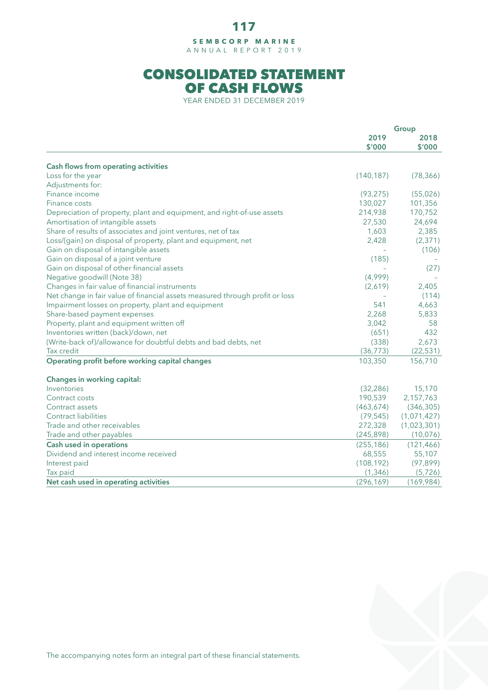## **117**

**SEMBCORP MARINE** ANNUAL REPORT 2019

## CONSOLIDATED STATEMENT OF CASH FLOWS

YEAR ENDED 31 DECEMBER 2019

|                                                                              | Group          |                |
|------------------------------------------------------------------------------|----------------|----------------|
|                                                                              | 2019<br>\$'000 | 2018<br>\$'000 |
|                                                                              |                |                |
| Cash flows from operating activities                                         |                |                |
| Loss for the year                                                            | (140, 187)     | (78, 366)      |
| Adjustments for:                                                             |                |                |
| Finance income                                                               | (93, 275)      | (55,026)       |
| Finance costs                                                                | 130,027        | 101,356        |
| Depreciation of property, plant and equipment, and right-of-use assets       | 214,938        | 170,752        |
| Amortisation of intangible assets                                            | 27,530         | 24,694         |
| Share of results of associates and joint ventures, net of tax                | 1,603          | 2,385          |
| Loss/(gain) on disposal of property, plant and equipment, net                | 2,428          | (2, 371)       |
| Gain on disposal of intangible assets                                        |                | (106)          |
| Gain on disposal of a joint venture                                          | (185)          |                |
| Gain on disposal of other financial assets                                   |                | (27)           |
| Negative goodwill (Note 38)                                                  | (4,999)        |                |
| Changes in fair value of financial instruments                               | (2,619)        | 2,405          |
| Net change in fair value of financial assets measured through profit or loss |                | (114)          |
| Impairment losses on property, plant and equipment                           | 541            | 4,663          |
| Share-based payment expenses                                                 | 2,268          | 5,833          |
| Property, plant and equipment written off                                    | 3,042          | 58             |
| Inventories written (back)/down, net                                         | (651)          | 432            |
| (Write-back of)/allowance for doubtful debts and bad debts, net              | (338)          | 2,673          |
| Tax credit                                                                   | (36, 773)      | (22, 531)      |
|                                                                              |                |                |
| Operating profit before working capital changes                              | 103,350        | 156,710        |
| Changes in working capital:                                                  |                |                |
| Inventories                                                                  | (32, 286)      | 15,170         |
| Contract costs                                                               | 190,539        | 2,157,763      |
| Contract assets                                                              | (463, 674)     | (346, 305)     |
| <b>Contract liabilities</b>                                                  | (79, 545)      | (1,071,427)    |
| Trade and other receivables                                                  | 272,328        | (1,023,301)    |
| Trade and other payables                                                     | (245, 898)     | (10,076)       |
| Cash used in operations                                                      | (255, 186)     | (121, 466)     |
| Dividend and interest income received                                        | 68,555         | 55,107         |
| Interest paid                                                                | (108, 192)     | (97, 899)      |
| Tax paid                                                                     | (1, 346)       | (5, 726)       |
| Net cash used in operating activities                                        | (296, 169)     | (169,984)      |